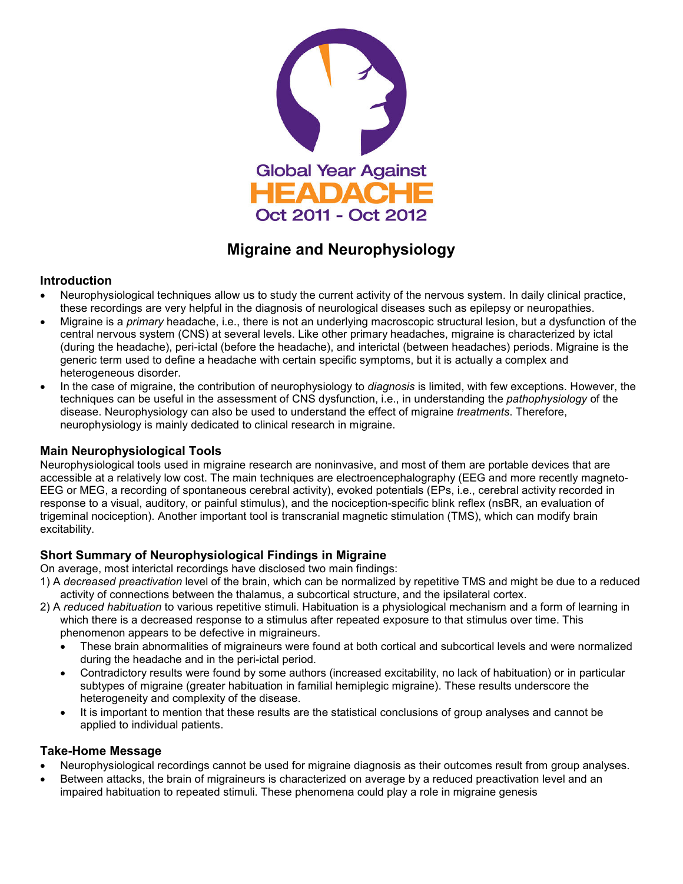

# **Migraine and Neurophysiology**

### **Introduction**

- Neurophysiological techniques allow us to study the current activity of the nervous system. In daily clinical practice, these recordings are very helpful in the diagnosis of neurological diseases such as epilepsy or neuropathies.
- Migraine is a *primary* headache, i.e., there is not an underlying macroscopic structural lesion, but a dysfunction of the central nervous system (CNS) at several levels. Like other primary headaches, migraine is characterized by ictal (during the headache), peri-ictal (before the headache), and interictal (between headaches) periods. Migraine is the generic term used to define a headache with certain specific symptoms, but it is actually a complex and heterogeneous disorder.
- In the case of migraine, the contribution of neurophysiology to *diagnosis* is limited, with few exceptions. However, the techniques can be useful in the assessment of CNS dysfunction, i.e., in understanding the *pathophysiology* of the disease. Neurophysiology can also be used to understand the effect of migraine *treatments*. Therefore, neurophysiology is mainly dedicated to clinical research in migraine.

### **Main Neurophysiological Tools**

Neurophysiological tools used in migraine research are noninvasive, and most of them are portable devices that are accessible at a relatively low cost. The main techniques are electroencephalography (EEG and more recently magneto-EEG or MEG, a recording of spontaneous cerebral activity), evoked potentials (EPs, i.e., cerebral activity recorded in response to a visual, auditory, or painful stimulus), and the nociception-specific blink reflex (nsBR, an evaluation of trigeminal nociception). Another important tool is transcranial magnetic stimulation (TMS), which can modify brain excitability.

## **Short Summary of Neurophysiological Findings in Migraine**

On average, most interictal recordings have disclosed two main findings:

- 1) A *decreased preactivation* level of the brain, which can be normalized by repetitive TMS and might be due to a reduced activity of connections between the thalamus, a subcortical structure, and the ipsilateral cortex.
- 2) A *reduced habituation* to various repetitive stimuli. Habituation is a physiological mechanism and a form of learning in which there is a decreased response to a stimulus after repeated exposure to that stimulus over time. This phenomenon appears to be defective in migraineurs.
	- These brain abnormalities of migraineurs were found at both cortical and subcortical levels and were normalized during the headache and in the peri-ictal period.
	- Contradictory results were found by some authors (increased excitability, no lack of habituation) or in particular subtypes of migraine (greater habituation in familial hemiplegic migraine). These results underscore the heterogeneity and complexity of the disease.
	- It is important to mention that these results are the statistical conclusions of group analyses and cannot be applied to individual patients.

### **Take-Home Message**

- Neurophysiological recordings cannot be used for migraine diagnosis as their outcomes result from group analyses.
- Between attacks, the brain of migraineurs is characterized on average by a reduced preactivation level and an impaired habituation to repeated stimuli. These phenomena could play a role in migraine genesis